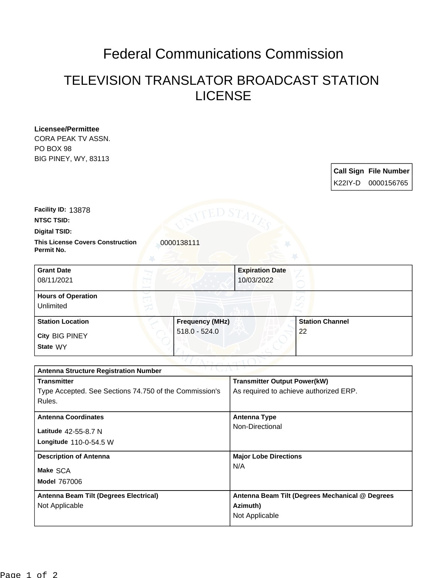## Federal Communications Commission

## TELEVISION TRANSLATOR BROADCAST STATION LICENSE

**Licensee/Permittee** CORA PEAK TV ASSN. PO BOX 98 BIG PINEY, WY, 83113

| <b>Call Sign File Number</b><br>K22IY-D 0000156765 |
|----------------------------------------------------|

**Facility ID:** 13878

**NTSC TSID:**

**Digital TSID:**

**This License Covers Construction**  0000138111 **Permit No.**

| <b>Grant Date</b><br>08/11/2021        | <b>Expiration Date</b><br>10/03/2022 |                        |
|----------------------------------------|--------------------------------------|------------------------|
| <b>Hours of Operation</b><br>Unlimited |                                      |                        |
| <b>Station Location</b>                | <b>Frequency (MHz)</b>               | <b>Station Channel</b> |
| City BIG PINEY<br>State WY             | $518.0 - 524.0$                      | 22                     |

| <b>Antenna Structure Registration Number</b>           |                                                 |  |  |
|--------------------------------------------------------|-------------------------------------------------|--|--|
| <b>Transmitter</b>                                     | <b>Transmitter Output Power(kW)</b>             |  |  |
| Type Accepted. See Sections 74.750 of the Commission's | As required to achieve authorized ERP.          |  |  |
| Rules.                                                 |                                                 |  |  |
| <b>Antenna Coordinates</b>                             | <b>Antenna Type</b>                             |  |  |
| Latitude 42-55-8.7 N                                   | Non-Directional                                 |  |  |
| Longitude 110-0-54.5 W                                 |                                                 |  |  |
| <b>Description of Antenna</b>                          | <b>Major Lobe Directions</b>                    |  |  |
| Make SCA                                               | N/A                                             |  |  |
| <b>Model 767006</b>                                    |                                                 |  |  |
| Antenna Beam Tilt (Degrees Electrical)                 | Antenna Beam Tilt (Degrees Mechanical @ Degrees |  |  |
| Not Applicable                                         | Azimuth)                                        |  |  |
|                                                        | Not Applicable                                  |  |  |
|                                                        |                                                 |  |  |